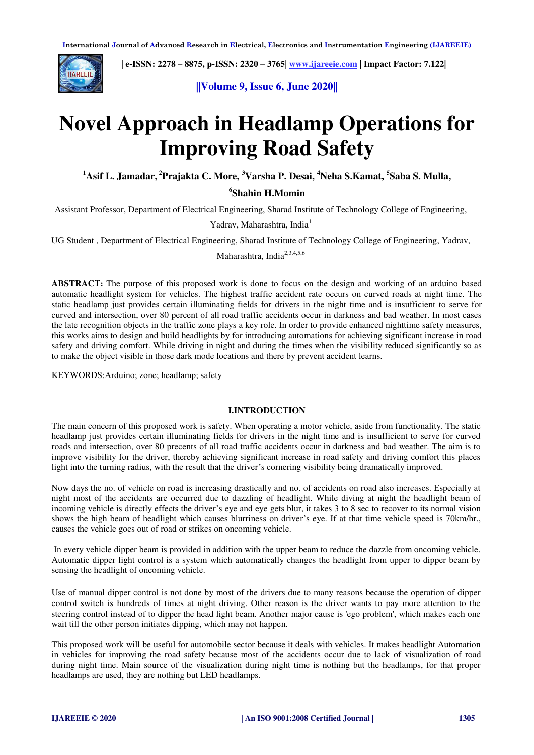

 **| e-ISSN: 2278 – 8875, p-ISSN: 2320 – 3765[| www.ijareeie.com](http://www.ijareeie.com/) | Impact Factor: 7.122|** 

**||Volume 9, Issue 6, June 2020||** 

# **Novel Approach in Headlamp Operations for Improving Road Safety**

**<sup>1</sup>Asif L. Jamadar,<sup>2</sup>Prajakta C. More, <sup>3</sup>Varsha P. Desai, <sup>4</sup>Neha S.Kamat, <sup>5</sup> Saba S. Mulla,** 

## **6 Shahin H.Momin**

Assistant Professor, Department of Electrical Engineering, Sharad Institute of Technology College of Engineering,

Yadrav, Maharashtra, India<sup>1</sup>

UG Student , Department of Electrical Engineering, Sharad Institute of Technology College of Engineering, Yadrav,

Maharashtra, India<sup>2,3,4,5,6</sup>

**ABSTRACT:** The purpose of this proposed work is done to focus on the design and working of an arduino based automatic headlight system for vehicles. The highest traffic accident rate occurs on curved roads at night time. The static headlamp just provides certain illuminating fields for drivers in the night time and is insufficient to serve for curved and intersection, over 80 percent of all road traffic accidents occur in darkness and bad weather. In most cases the late recognition objects in the traffic zone plays a key role. In order to provide enhanced nighttime safety measures, this works aims to design and build headlights by for introducing automations for achieving significant increase in road safety and driving comfort. While driving in night and during the times when the visibility reduced significantly so as to make the object visible in those dark mode locations and there by prevent accident learns.

KEYWORDS:Arduino; zone; headlamp; safety

#### **I.INTRODUCTION**

The main concern of this proposed work is safety. When operating a motor vehicle, aside from functionality. The static headlamp just provides certain illuminating fields for drivers in the night time and is insufficient to serve for curved roads and intersection, over 80 precents of all road traffic accidents occur in darkness and bad weather. The aim is to improve visibility for the driver, thereby achieving significant increase in road safety and driving comfort this places light into the turning radius, with the result that the driver's cornering visibility being dramatically improved.

 Now days the no. of vehicle on road is increasing drastically and no. of accidents on road also increases. Especially at night most of the accidents are occurred due to dazzling of headlight. While diving at night the headlight beam of incoming vehicle is directly effects the driver's eye and eye gets blur, it takes 3 to 8 sec to recover to its normal vision shows the high beam of headlight which causes blurriness on driver's eye. If at that time vehicle speed is 70km/hr., causes the vehicle goes out of road or strikes on oncoming vehicle.

 In every vehicle dipper beam is provided in addition with the upper beam to reduce the dazzle from oncoming vehicle. Automatic dipper light control is a system which automatically changes the headlight from upper to dipper beam by sensing the headlight of oncoming vehicle.

Use of manual dipper control is not done by most of the drivers due to many reasons because the operation of dipper control switch is hundreds of times at night driving. Other reason is the driver wants to pay more attention to the steering control instead of to dipper the head light beam. Another major cause is 'ego problem', which makes each one wait till the other person initiates dipping, which may not happen.

This proposed work will be useful for automobile sector because it deals with vehicles. It makes headlight Automation in vehicles for improving the road safety because most of the accidents occur due to lack of visualization of road during night time. Main source of the visualization during night time is nothing but the headlamps, for that proper headlamps are used, they are nothing but LED headlamps.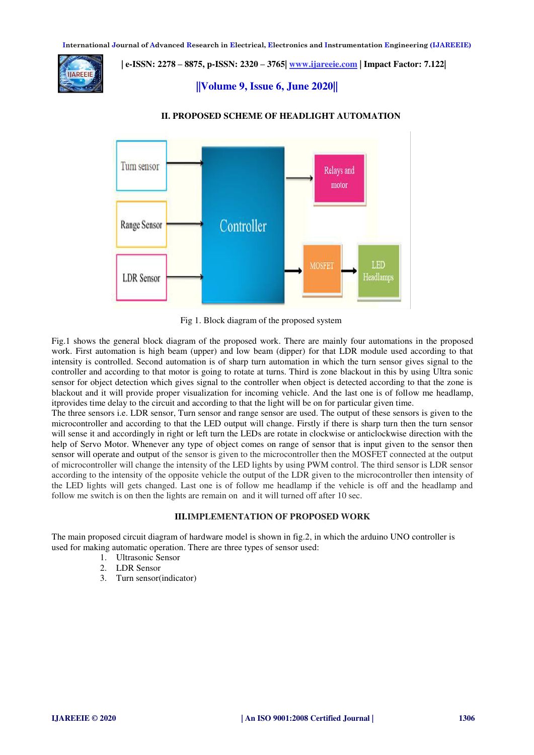

 **| e-ISSN: 2278 – 8875, p-ISSN: 2320 – 3765[| www.ijareeie.com](http://www.ijareeie.com/) | Impact Factor: 7.122|** 

### **||Volume 9, Issue 6, June 2020||**



#### **II. PROPOSED SCHEME OF HEADLIGHT AUTOMATION**

Fig 1. Block diagram of the proposed system

Fig.1 shows the general block diagram of the proposed work. There are mainly four automations in the proposed work. First automation is high beam (upper) and low beam (dipper) for that LDR module used according to that intensity is controlled. Second automation is of sharp turn automation in which the turn sensor gives signal to the controller and according to that motor is going to rotate at turns. Third is zone blackout in this by using Ultra sonic sensor for object detection which gives signal to the controller when object is detected according to that the zone is blackout and it will provide proper visualization for incoming vehicle. And the last one is of follow me headlamp, itprovides time delay to the circuit and according to that the light will be on for particular given time.

The three sensors i.e. LDR sensor, Turn sensor and range sensor are used. The output of these sensors is given to the microcontroller and according to that the LED output will change. Firstly if there is sharp turn then the turn sensor will sense it and accordingly in right or left turn the LEDs are rotate in clockwise or anticlockwise direction with the help of Servo Motor. Whenever any type of object comes on range of sensor that is input given to the sensor then sensor will operate and output of the sensor is given to the microcontroller then the MOSFET connected at the output of microcontroller will change the intensity of the LED lights by using PWM control. The third sensor is LDR sensor according to the intensity of the opposite vehicle the output of the LDR given to the microcontroller then intensity of the LED lights will gets changed. Last one is of follow me headlamp if the vehicle is off and the headlamp and follow me switch is on then the lights are remain on and it will turned off after 10 sec.

#### **III.IMPLEMENTATION OF PROPOSED WORK**

The main proposed circuit diagram of hardware model is shown in fig.2, in which the arduino UNO controller is used for making automatic operation. There are three types of sensor used:

- 1. Ultrasonic Sensor
- 2. LDR Sensor
- 3. Turn sensor(indicator)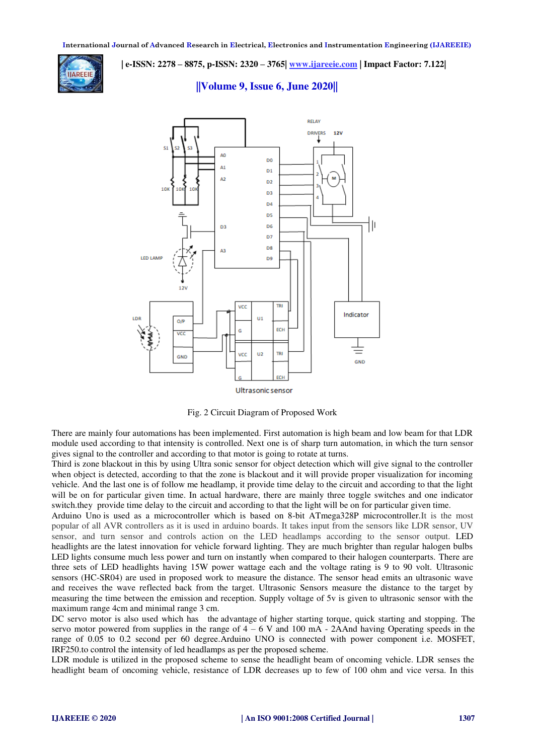

 **| e-ISSN: 2278 – 8875, p-ISSN: 2320 – 3765[| www.ijareeie.com](http://www.ijareeie.com/) | Impact Factor: 7.122|** 

**||Volume 9, Issue 6, June 2020||** 



Ultrasonic sensor

Fig. 2 Circuit Diagram of Proposed Work

There are mainly four automations has been implemented. First automation is high beam and low beam for that LDR module used according to that intensity is controlled. Next one is of sharp turn automation, in which the turn sensor gives signal to the controller and according to that motor is going to rotate at turns.

Third is zone blackout in this by using Ultra sonic sensor for object detection which will give signal to the controller when object is detected, according to that the zone is blackout and it will provide proper visualization for incoming vehicle. And the last one is of follow me headlamp, it provide time delay to the circuit and according to that the light will be on for particular given time. In actual hardware, there are mainly three toggle switches and one indicator switch.they provide time delay to the circuit and according to that the light will be on for particular given time.

Arduino Uno is used as a microcontroller which is based on 8-bit ATmega328P microcontroller.It is the most popular of all AVR controllers as it is used in arduino boards. It takes input from the sensors like LDR sensor, UV sensor, and turn sensor and controls action on the LED headlamps according to the sensor output. LED headlights are the latest innovation for vehicle forward lighting. They are much brighter than regular halogen bulbs LED lights consume much less power and turn on instantly when compared to their halogen counterparts. There are three sets of LED headlights having 15W power wattage each and the voltage rating is 9 to 90 volt. Ultrasonic sensors (HC-SR04) are used in proposed work to measure the distance. The sensor head emits an ultrasonic wave and receives the wave reflected back from the target. Ultrasonic Sensors measure the distance to the target by measuring the time between the emission and reception. Supply voltage of 5v is given to ultrasonic sensor with the maximum range 4cm and minimal range 3 cm.

DC servo motor is also used which has the advantage of higher starting torque, quick starting and stopping. The servo motor powered from supplies in the range of  $4 - 6$  V and 100 mA - 2AAnd having Operating speeds in the range of 0.05 to 0.2 second per 60 degree.Arduino UNO is connected with power component i.e. MOSFET, IRF250.to control the intensity of led headlamps as per the proposed scheme.

LDR module is utilized in the proposed scheme to sense the headlight beam of oncoming vehicle. LDR senses the headlight beam of oncoming vehicle, resistance of LDR decreases up to few of 100 ohm and vice versa. In this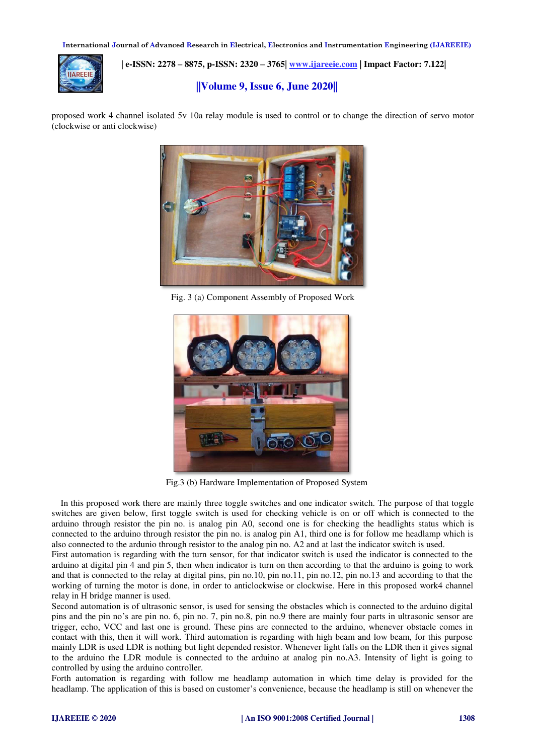

 **| e-ISSN: 2278 – 8875, p-ISSN: 2320 – 3765[| www.ijareeie.com](http://www.ijareeie.com/) | Impact Factor: 7.122|** 

### **||Volume 9, Issue 6, June 2020||**

proposed work 4 channel isolated 5v 10a relay module is used to control or to change the direction of servo motor (clockwise or anti clockwise)



Fig. 3 (a) Component Assembly of Proposed Work



Fig.3 (b) Hardware Implementation of Proposed System

 In this proposed work there are mainly three toggle switches and one indicator switch. The purpose of that toggle switches are given below, first toggle switch is used for checking vehicle is on or off which is connected to the arduino through resistor the pin no. is analog pin A0, second one is for checking the headlights status which is connected to the arduino through resistor the pin no. is analog pin A1, third one is for follow me headlamp which is also connected to the ardunio through resistor to the analog pin no. A2 and at last the indicator switch is used.

First automation is regarding with the turn sensor, for that indicator switch is used the indicator is connected to the arduino at digital pin 4 and pin 5, then when indicator is turn on then according to that the arduino is going to work and that is connected to the relay at digital pins, pin no.10, pin no.11, pin no.12, pin no.13 and according to that the working of turning the motor is done, in order to anticlockwise or clockwise. Here in this proposed work4 channel relay in H bridge manner is used.

Second automation is of ultrasonic sensor, is used for sensing the obstacles which is connected to the arduino digital pins and the pin no's are pin no. 6, pin no. 7, pin no.8, pin no.9 there are mainly four parts in ultrasonic sensor are trigger, echo, VCC and last one is ground. These pins are connected to the arduino, whenever obstacle comes in contact with this, then it will work. Third automation is regarding with high beam and low beam, for this purpose mainly LDR is used LDR is nothing but light depended resistor. Whenever light falls on the LDR then it gives signal to the arduino the LDR module is connected to the arduino at analog pin no.A3. Intensity of light is going to controlled by using the arduino controller.

Forth automation is regarding with follow me headlamp automation in which time delay is provided for the headlamp. The application of this is based on customer's convenience, because the headlamp is still on whenever the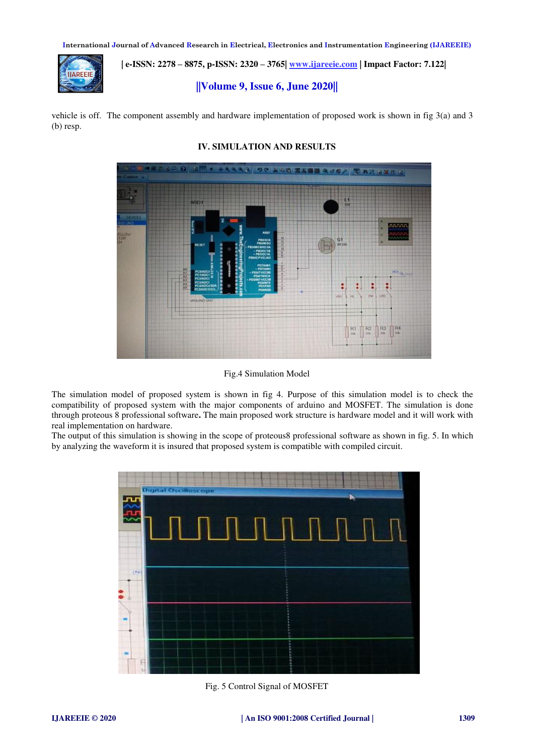

 **| e-ISSN: 2278 – 8875, p-ISSN: 2320 – 3765[| www.ijareeie.com](http://www.ijareeie.com/) | Impact Factor: 7.122|** 

**||Volume 9, Issue 6, June 2020||** 

vehicle is off. The component assembly and hardware implementation of proposed work is shown in fig 3(a) and 3 (b) resp.



### **IV. SIMULATION AND RESULTS**

Fig.4 Simulation Model

The simulation model of proposed system is shown in fig 4. Purpose of this simulation model is to check the compatibility of proposed system with the major components of arduino and MOSFET. The simulation is done through proteous 8 professional software**.** The main proposed work structure is hardware model and it will work with real implementation on hardware.

The output of this simulation is showing in the scope of proteous8 professional software as shown in fig. 5. In which by analyzing the waveform it is insured that proposed system is compatible with compiled circuit.



Fig. 5 Control Signal of MOSFET